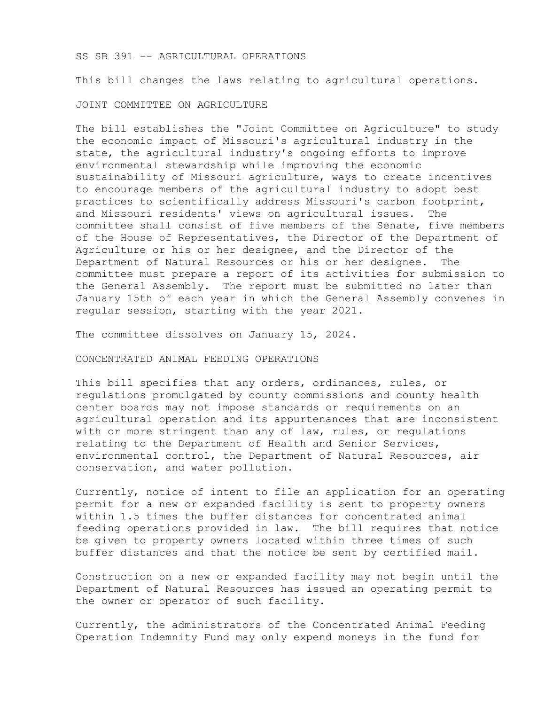SS SB 391 -- AGRICULTURAL OPERATIONS

This bill changes the laws relating to agricultural operations.

JOINT COMMITTEE ON AGRICULTURE

The bill establishes the "Joint Committee on Agriculture" to study the economic impact of Missouri's agricultural industry in the state, the agricultural industry's ongoing efforts to improve environmental stewardship while improving the economic sustainability of Missouri agriculture, ways to create incentives to encourage members of the agricultural industry to adopt best practices to scientifically address Missouri's carbon footprint, and Missouri residents' views on agricultural issues. The committee shall consist of five members of the Senate, five members of the House of Representatives, the Director of the Department of Agriculture or his or her designee, and the Director of the Department of Natural Resources or his or her designee. The committee must prepare a report of its activities for submission to the General Assembly. The report must be submitted no later than January 15th of each year in which the General Assembly convenes in regular session, starting with the year 2021.

The committee dissolves on January 15, 2024.

CONCENTRATED ANIMAL FEEDING OPERATIONS

This bill specifies that any orders, ordinances, rules, or regulations promulgated by county commissions and county health center boards may not impose standards or requirements on an agricultural operation and its appurtenances that are inconsistent with or more stringent than any of law, rules, or regulations relating to the Department of Health and Senior Services, environmental control, the Department of Natural Resources, air conservation, and water pollution.

Currently, notice of intent to file an application for an operating permit for a new or expanded facility is sent to property owners within 1.5 times the buffer distances for concentrated animal feeding operations provided in law. The bill requires that notice be given to property owners located within three times of such buffer distances and that the notice be sent by certified mail.

Construction on a new or expanded facility may not begin until the Department of Natural Resources has issued an operating permit to the owner or operator of such facility.

Currently, the administrators of the Concentrated Animal Feeding Operation Indemnity Fund may only expend moneys in the fund for